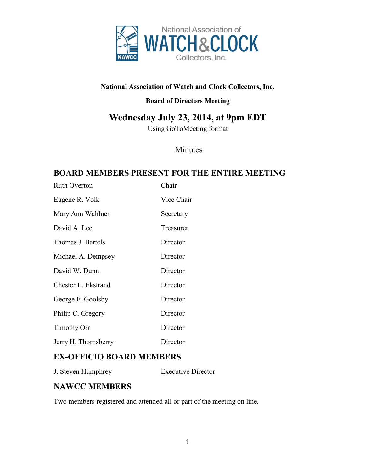

#### **National Association of Watch and Clock Collectors, Inc.**

#### **Board of Directors Meeting**

# **Wednesday July 23, 2014, at 9pm EDT**

Using GoToMeeting format

### Minutes

## **BOARD MEMBERS PRESENT FOR THE ENTIRE MEETING**

| <b>Ruth Overton</b>  | Chair      |
|----------------------|------------|
| Eugene R. Volk       | Vice Chair |
| Mary Ann Wahlner     | Secretary  |
| David A. Lee         | Treasurer  |
| Thomas J. Bartels    | Director   |
| Michael A. Dempsey   | Director   |
| David W. Dunn        | Director   |
| Chester L. Ekstrand  | Director   |
| George F. Goolsby    | Director   |
| Philip C. Gregory    | Director   |
| <b>Timothy Orr</b>   | Director   |
| Jerry H. Thornsberry | Director   |

## **EX-OFFICIO BOARD MEMBERS**

J. Steven Humphrey Executive Director

### **NAWCC MEMBERS**

Two members registered and attended all or part of the meeting on line.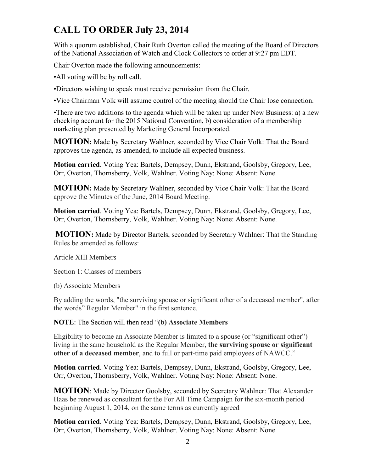# **CALL TO ORDER July 23, 2014**

With a quorum established, Chair Ruth Overton called the meeting of the Board of Directors of the National Association of Watch and Clock Collectors to order at 9:27 pm EDT.

Chair Overton made the following announcements:

•All voting will be by roll call.

•Directors wishing to speak must receive permission from the Chair.

•Vice Chairman Volk will assume control of the meeting should the Chair lose connection.

•There are two additions to the agenda which will be taken up under New Business: a) a new checking account for the 2015 National Convention, b) consideration of a membership marketing plan presented by Marketing General Incorporated.

**MOTION:** Made by Secretary Wahlner, seconded by Vice Chair Volk: That the Board approves the agenda, as amended, to include all expected business.

**Motion carried**. Voting Yea: Bartels, Dempsey, Dunn, Ekstrand, Goolsby, Gregory, Lee, Orr, Overton, Thornsberry, Volk, Wahlner. Voting Nay: None: Absent: None.

**MOTION:** Made by Secretary Wahlner, seconded by Vice Chair Volk: That the Board approve the Minutes of the June, 2014 Board Meeting.

**Motion carried**. Voting Yea: Bartels, Dempsey, Dunn, Ekstrand, Goolsby, Gregory, Lee, Orr, Overton, Thornsberry, Volk, Wahlner. Voting Nay: None: Absent: None.

**MOTION:** Made by Director Bartels, seconded by Secretary Wahlner: That the Standing Rules be amended as follows:

Article XIII Members

Section 1: Classes of members

(b) Associate Members

By adding the words, "the surviving spouse or significant other of a deceased member", after the words" Regular Member" in the first sentence.

**NOTE**: The Section will then read "**(b) Associate Members**

Eligibility to become an Associate Member is limited to a spouse (or "significant other") living in the same household as the Regular Member, **the surviving spouse or significant other of a deceased member**, and to full or part-time paid employees of NAWCC."

**Motion carried**. Voting Yea: Bartels, Dempsey, Dunn, Ekstrand, Goolsby, Gregory, Lee, Orr, Overton, Thornsberry, Volk, Wahlner. Voting Nay: None: Absent: None.

**MOTION**: Made by Director Goolsby, seconded by Secretary Wahlner: That Alexander Haas be renewed as consultant for the For All Time Campaign for the six-month period beginning August 1, 2014, on the same terms as currently agreed

**Motion carried**. Voting Yea: Bartels, Dempsey, Dunn, Ekstrand, Goolsby, Gregory, Lee, Orr, Overton, Thornsberry, Volk, Wahlner. Voting Nay: None: Absent: None.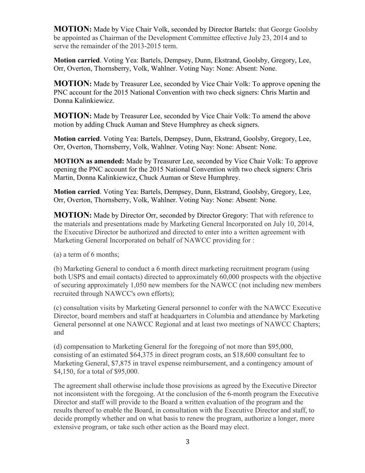**MOTION:** Made by Vice Chair Volk, seconded by Director Bartels: that George Goolsby be appointed as Chairman of the Development Committee effective July 23, 2014 and to serve the remainder of the 2013-2015 term.

**Motion carried**. Voting Yea: Bartels, Dempsey, Dunn, Ekstrand, Goolsby, Gregory, Lee, Orr, Overton, Thornsberry, Volk, Wahlner. Voting Nay: None: Absent: None.

**MOTION:** Made by Treasurer Lee, seconded by Vice Chair Volk: To approve opening the PNC account for the 2015 National Convention with two check signers: Chris Martin and Donna Kalinkiewicz.

**MOTION:** Made by Treasurer Lee, seconded by Vice Chair Volk: To amend the above motion by adding Chuck Auman and Steve Humphrey as check signers.

**Motion carried**. Voting Yea: Bartels, Dempsey, Dunn, Ekstrand, Goolsby, Gregory, Lee, Orr, Overton, Thornsberry, Volk, Wahlner. Voting Nay: None: Absent: None.

**MOTION as amended:** Made by Treasurer Lee, seconded by Vice Chair Volk: To approve opening the PNC account for the 2015 National Convention with two check signers: Chris Martin, Donna Kalinkiewicz, Chuck Auman or Steve Humphrey.

**Motion carried**. Voting Yea: Bartels, Dempsey, Dunn, Ekstrand, Goolsby, Gregory, Lee, Orr, Overton, Thornsberry, Volk, Wahlner. Voting Nay: None: Absent: None.

**MOTION:** Made by Director Orr, seconded by Director Gregory: That with reference to the materials and presentations made by Marketing General Incorporated on July 10, 2014, the Executive Director be authorized and directed to enter into a written agreement with Marketing General Incorporated on behalf of NAWCC providing for :

(a) a term of 6 months;

(b) Marketing General to conduct a 6 month direct marketing recruitment program (using both USPS and email contacts) directed to approximately 60,000 prospects with the objective of securing approximately 1,050 new members for the NAWCC (not including new members recruited through NAWCC's own efforts);

(c) consultation visits by Marketing General personnel to confer with the NAWCC Executive Director, board members and staff at headquarters in Columbia and attendance by Marketing General personnel at one NAWCC Regional and at least two meetings of NAWCC Chapters; and

(d) compensation to Marketing General for the foregoing of not more than \$95,000, consisting of an estimated \$64,375 in direct program costs, an \$18,600 consultant fee to Marketing General, \$7,875 in travel expense reimbursement, and a contingency amount of \$4,150, for a total of \$95,000.

The agreement shall otherwise include those provisions as agreed by the Executive Director not inconsistent with the foregoing. At the conclusion of the 6-month program the Executive Director and staff will provide to the Board a written evaluation of the program and the results thereof to enable the Board, in consultation with the Executive Director and staff, to decide promptly whether and on what basis to renew the program, authorize a longer, more extensive program, or take such other action as the Board may elect.